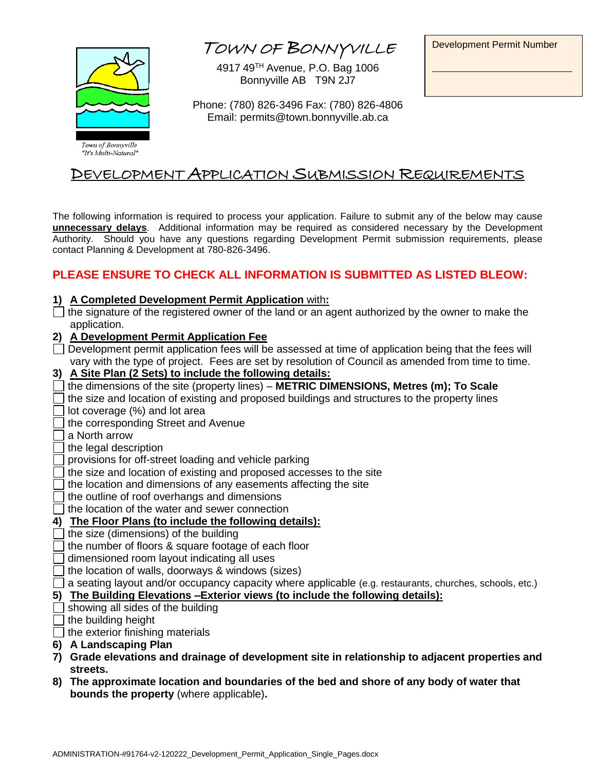<sup>T</sup>OWN OF BONNYVILLE

4917 49TH Avenue, P.O. Bag 1006 Bonnyville AB T9N 2J7

Development Permit Number



Phone: (780) 826-3496 Fax: (780) 826-4806 Email: permits@town.bonnyville.ab.ca

# DEVELOPMENT APPLICATION SUBMISSION REQUIREMENTS

The following information is required to process your application. Failure to submit any of the below may cause **unnecessary delays**. Additional information may be required as considered necessary by the Development Authority. Should you have any questions regarding Development Permit submission requirements, please contact Planning & Development at 780-826-3496.

## **PLEASE ENSURE TO CHECK ALL INFORMATION IS SUBMITTED AS LISTED BLEOW:**

#### **1) A Completed Development Permit Application** with**:**

- $\Box$  the signature of the registered owner of the land or an agent authorized by the owner to make the application.
- **2) A Development Permit Application Fee**
- $\Box$  Development permit application fees will be assessed at time of application being that the fees will vary with the type of project. Fees are set by resolution of Council as amended from time to time.
- **3) A Site Plan (2 Sets) to include the following details:**
- the dimensions of the site (property lines) **METRIC DIMENSIONS, Metres (m); To Scale**
- the size and location of existing and proposed buildings and structures to the property lines
- lot coverage (%) and lot area
- I the corresponding Street and Avenue
- a North arrow
- the legal description
- provisions for off-street loading and vehicle parking
- the size and location of existing and proposed accesses to the site
- the location and dimensions of any easements affecting the site
- the outline of roof overhangs and dimensions
- $\Box$  the location of the water and sewer connection

## **4) The Floor Plans (to include the following details):**

- $\exists$  the size (dimensions) of the building
- the number of floors & square footage of each floor
- dimensioned room layout indicating all uses
- the location of walls, doorways & windows (sizes)
- a seating layout and/or occupancy capacity where applicable (e.g. restaurants, churches, schools, etc.)

#### **5) The Building Elevations –Exterior views (to include the following details):**

- $\Box$  showing all sides of the building
- $\Box$  the building height
- $\Box$  the exterior finishing materials
- **6) A Landscaping Plan**
- **7) Grade elevations and drainage of development site in relationship to adjacent properties and streets.**
- **8) The approximate location and boundaries of the bed and shore of any body of water that bounds the property** (where applicable)**.**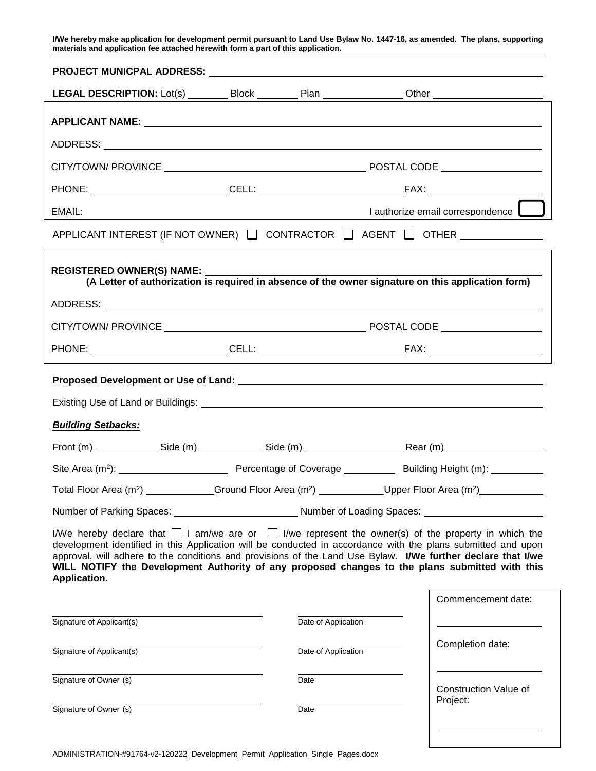**I/We hereby make application for development permit pursuant to Land Use Bylaw No. 1447-16, as amended. The plans, supporting materials and application fee attached herewith form a part of this application.**

| LEGAL DESCRIPTION: Lot(s) _________ Block _________ Plan _______________ Other ____________________                                                                                                                                                                                                                                                                                                                                                              |  |                     |  |                                  |  |  |
|------------------------------------------------------------------------------------------------------------------------------------------------------------------------------------------------------------------------------------------------------------------------------------------------------------------------------------------------------------------------------------------------------------------------------------------------------------------|--|---------------------|--|----------------------------------|--|--|
|                                                                                                                                                                                                                                                                                                                                                                                                                                                                  |  |                     |  |                                  |  |  |
|                                                                                                                                                                                                                                                                                                                                                                                                                                                                  |  |                     |  |                                  |  |  |
|                                                                                                                                                                                                                                                                                                                                                                                                                                                                  |  |                     |  |                                  |  |  |
|                                                                                                                                                                                                                                                                                                                                                                                                                                                                  |  |                     |  |                                  |  |  |
| EMAIL:<br><u> 1989 - Johann Barn, mars eta bainar eta bainar eta baina eta baina eta baina eta baina eta baina eta baina e</u>                                                                                                                                                                                                                                                                                                                                   |  |                     |  | I authorize email correspondence |  |  |
| APPLICANT INTEREST (IF NOT OWNER) $\Box$ CONTRACTOR $\Box$ AGENT $\Box$ OTHER _________                                                                                                                                                                                                                                                                                                                                                                          |  |                     |  |                                  |  |  |
| REGISTERED OWNER(S) NAME:<br>(A Letter of authorization is required in absence of the owner signature on this application form)                                                                                                                                                                                                                                                                                                                                  |  |                     |  |                                  |  |  |
|                                                                                                                                                                                                                                                                                                                                                                                                                                                                  |  |                     |  |                                  |  |  |
|                                                                                                                                                                                                                                                                                                                                                                                                                                                                  |  |                     |  |                                  |  |  |
|                                                                                                                                                                                                                                                                                                                                                                                                                                                                  |  |                     |  |                                  |  |  |
|                                                                                                                                                                                                                                                                                                                                                                                                                                                                  |  |                     |  |                                  |  |  |
|                                                                                                                                                                                                                                                                                                                                                                                                                                                                  |  |                     |  |                                  |  |  |
| <b>Building Setbacks:</b>                                                                                                                                                                                                                                                                                                                                                                                                                                        |  |                     |  |                                  |  |  |
|                                                                                                                                                                                                                                                                                                                                                                                                                                                                  |  |                     |  |                                  |  |  |
|                                                                                                                                                                                                                                                                                                                                                                                                                                                                  |  |                     |  |                                  |  |  |
| Total Floor Area (m <sup>2</sup> ) _______________Ground Floor Area (m <sup>2</sup> ) ______________Upper Floor Area (m <sup>2</sup> ) ____________                                                                                                                                                                                                                                                                                                              |  |                     |  |                                  |  |  |
| Number of Parking Spaces: ______________________________Number of Loading Spaces: __________________                                                                                                                                                                                                                                                                                                                                                             |  |                     |  |                                  |  |  |
| I/We hereby declare that $\Box$ I am/we are or $\Box$ I/we represent the owner(s) of the property in which the<br>development identified in this Application will be conducted in accordance with the plans submitted and upon<br>approval, will adhere to the conditions and provisions of the Land Use Bylaw. I/We further declare that I/we<br>WILL NOTIFY the Development Authority of any proposed changes to the plans submitted with this<br>Application. |  |                     |  |                                  |  |  |
|                                                                                                                                                                                                                                                                                                                                                                                                                                                                  |  |                     |  | Commencement date:               |  |  |
| Signature of Applicant(s)                                                                                                                                                                                                                                                                                                                                                                                                                                        |  | Date of Application |  |                                  |  |  |
| Signature of Applicant(s)                                                                                                                                                                                                                                                                                                                                                                                                                                        |  | Date of Application |  | Completion date:                 |  |  |
| Signature of Owner (s)                                                                                                                                                                                                                                                                                                                                                                                                                                           |  | Date                |  | Construction Value of            |  |  |
| Signature of Owner (s)                                                                                                                                                                                                                                                                                                                                                                                                                                           |  | Date                |  | Project:                         |  |  |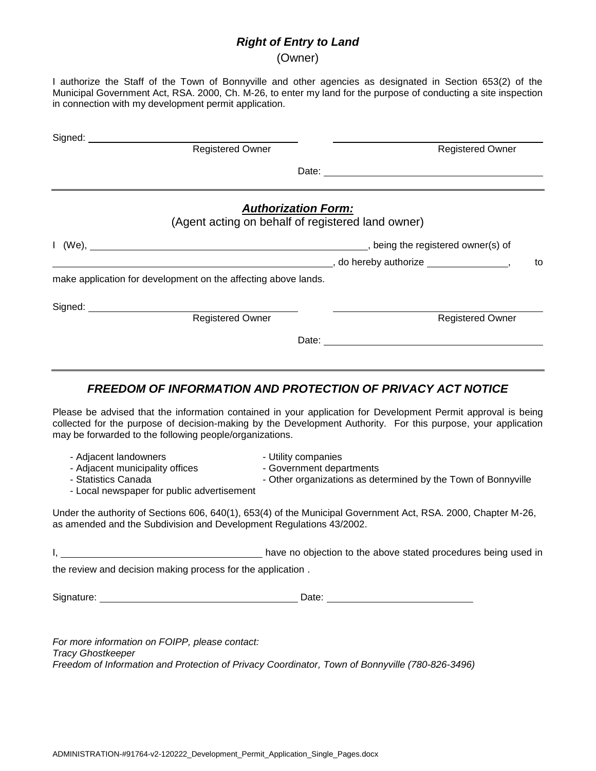### *Right of Entry to Land*

(Owner)

I authorize the Staff of the Town of Bonnyville and other agencies as designated in Section 653(2) of the Municipal Government Act, RSA. 2000, Ch. M-26, to enter my land for the purpose of conducting a site inspection in connection with my development permit application.

| Signed: ____________<br>Registered Owner                                                                                                                                                                                                                                                  |                                                 |                                                                                                                                                                                                                                                           |    |
|-------------------------------------------------------------------------------------------------------------------------------------------------------------------------------------------------------------------------------------------------------------------------------------------|-------------------------------------------------|-----------------------------------------------------------------------------------------------------------------------------------------------------------------------------------------------------------------------------------------------------------|----|
|                                                                                                                                                                                                                                                                                           |                                                 | <b>Registered Owner</b><br>Date: the contract of the contract of the contract of the contract of the contract of the contract of the contract of the contract of the contract of the contract of the contract of the contract of the contract of the cont |    |
|                                                                                                                                                                                                                                                                                           | <b>Authorization Form:</b>                      | (Agent acting on behalf of registered land owner)                                                                                                                                                                                                         |    |
| I (We), the property of the control of the control of the registered owner(s) of                                                                                                                                                                                                          |                                                 |                                                                                                                                                                                                                                                           |    |
| make application for development on the affecting above lands.                                                                                                                                                                                                                            |                                                 |                                                                                                                                                                                                                                                           | to |
| Signed: <u>Negistered</u> Owner                                                                                                                                                                                                                                                           |                                                 | <b>Registered Owner</b>                                                                                                                                                                                                                                   |    |
|                                                                                                                                                                                                                                                                                           |                                                 | Date: <u>New York: New York: New York: New York: New York: New York: New York: New York: New York: New York: New York: New York: New York: New York: New York: New York: New York: New York: New York: New York: New York: New Y</u>                      |    |
| Please be advised that the information contained in your application for Development Permit approval is being<br>collected for the purpose of decision-making by the Development Authority. For this purpose, your application<br>may be forwarded to the following people/organizations. |                                                 | <b>FREEDOM OF INFORMATION AND PROTECTION OF PRIVACY ACT NOTICE</b>                                                                                                                                                                                        |    |
| - Adjacent landowners<br>- Adjacent municipality offices<br>- Statistics Canada<br>- Local newspaper for public advertisement                                                                                                                                                             | - Utility companies<br>- Government departments | - Other organizations as determined by the Town of Bonnyville                                                                                                                                                                                             |    |
| Under the authority of Sections 606, 640(1), 653(4) of the Municipal Government Act, RSA. 2000, Chapter M-26,<br>as amended and the Subdivision and Development Regulations 43/2002.                                                                                                      |                                                 |                                                                                                                                                                                                                                                           |    |
| the review and decision making process for the application.                                                                                                                                                                                                                               |                                                 |                                                                                                                                                                                                                                                           |    |
|                                                                                                                                                                                                                                                                                           |                                                 |                                                                                                                                                                                                                                                           |    |
|                                                                                                                                                                                                                                                                                           |                                                 |                                                                                                                                                                                                                                                           |    |

*For more information on FOIPP, please contact: Tracy Ghostkeeper Freedom of Information and Protection of Privacy Coordinator, Town of Bonnyville (780-826-3496)*